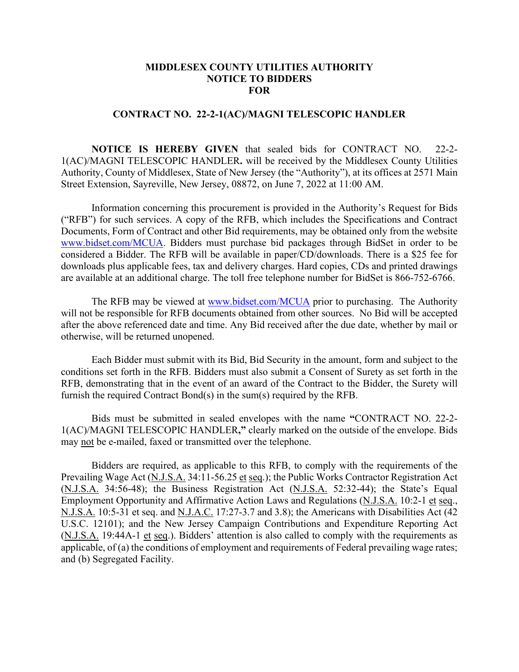## **MIDDLESEX COUNTY UTILITIES AUTHORITY NOTICE TO BIDDERS FOR**

## **CONTRACT NO. 22-2-1(AC)/MAGNI TELESCOPIC HANDLER**

**NOTICE IS HEREBY GIVEN** that sealed bids for CONTRACT NO. 22-2- 1(AC)/MAGNI TELESCOPIC HANDLER**.** will be received by the Middlesex County Utilities Authority, County of Middlesex, State of New Jersey (the "Authority"), at its offices at 2571 Main Street Extension, Sayreville, New Jersey, 08872, on June 7, 2022 at 11:00 AM.

Information concerning this procurement is provided in the Authority's Request for Bids ("RFB") for such services. A copy of the RFB, which includes the Specifications and Contract Documents, Form of Contract and other Bid requirements, may be obtained only from the website [www.bidset.com/MCUA.](http://www.bidset.com/MCUA) Bidders must purchase bid packages through BidSet in order to be considered a Bidder. The RFB will be available in paper/CD/downloads. There is a \$25 fee for downloads plus applicable fees, tax and delivery charges. Hard copies, CDs and printed drawings are available at an additional charge. The toll free telephone number for BidSet is 866-752-6766.

The RFB may be viewed at [www.bidset.com/MCUA](http://www.bidset.com/MCUA) prior to purchasing. The Authority will not be responsible for RFB documents obtained from other sources. No Bid will be accepted after the above referenced date and time. Any Bid received after the due date, whether by mail or otherwise, will be returned unopened.

Each Bidder must submit with its Bid, Bid Security in the amount, form and subject to the conditions set forth in the RFB. Bidders must also submit a Consent of Surety as set forth in the RFB, demonstrating that in the event of an award of the Contract to the Bidder, the Surety will furnish the required Contract Bond(s) in the sum(s) required by the RFB.

Bids must be submitted in sealed envelopes with the name **"**CONTRACT NO. 22-2- 1(AC)/MAGNI TELESCOPIC HANDLER**,"** clearly marked on the outside of the envelope. Bids may not be e-mailed, faxed or transmitted over the telephone.

Bidders are required, as applicable to this RFB, to comply with the requirements of the Prevailing Wage Act (N.J.S.A. 34:11-56.25 et seq.); the Public Works Contractor Registration Act (N.J.S.A. 34:56-48); the Business Registration Act (N.J.S.A. 52:32-44); the State's Equal Employment Opportunity and Affirmative Action Laws and Regulations (N.J.S.A. 10:2-1 et seq., N.J.S.A. 10:5-31 et seq. and N.J.A.C. 17:27-3.7 and 3.8); the Americans with Disabilities Act (42 U.S.C. 12101); and the New Jersey Campaign Contributions and Expenditure Reporting Act (N.J.S.A. 19:44A-1 et seq.). Bidders' attention is also called to comply with the requirements as applicable, of (a) the conditions of employment and requirements of Federal prevailing wage rates; and (b) Segregated Facility.